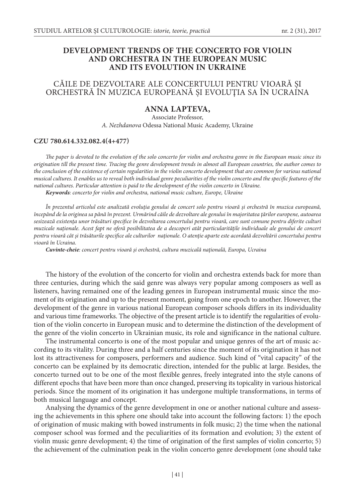## **DEVELOPMENT TRENDS OF THE CONCERTO FOR VIOLIN AND ORCHESTRA IN THE EUROPEAN MUSIC AND ITS EVOLUTION IN UKRAINE**

# CĂILE DE DEZVOLTARE ALE CONCERTULUI PENTRU VIOARĂ ŞI ORCHESTRĂ ÎN MUZICA EUROPEANĂ ŞI EVOLUŢIA SA ÎN UCRAINA

## **ANNA LAPTEVA,**

Associate Professor, *А. Nezhdanova* Odessa National Music Academy, Ukraine

#### **CZU 780.614.332.082.4(4+477)**

*The paper is devoted to the evolution of the solo concerto for violin and orchestra genre in the European music since its origination till the present time. Tracing the genre development trends in almost all European countries, the author comes to the conclusion of the existence of certain regularities in the violin concerto development that are common for various national musical cultures. It enables us to reveal both individual genre peculiarities of the violin concerto and the specific features of the national cultures. Particular attention is paid to the development of the violin concerto in Ukraine.*

*Keywords: concerto for violin and orchestra, national music culture, Europe, Ukraine*

*În prezentul articolul este analizată evoluţia genului de concert solo pentru vioară şi orchestră în muzica europeană, începând de la originea sa până în prezent. Urmărind căile de dezvoltare ale genului în majoritatea ţărilor europene, autoarea sesizează existenţa unor trăsături specifice în dezvoltarea concertului pentru vioară, care sunt comune pentru diferite culturi muzicale naţionale. Acest fapt ne oferă posibilitatea de a descoperi atât particularităţile individuale ale genului de concert pentru vioară cât şi trăsăturile specifice ale culturilor naţionale. O atenţie aparte este acordată dezvoltării concertului pentru vioară în Ucraina.*

*Cuvinte-cheie: concert pentru vioară şi orchestră, cultura muzicală naţională, Europa, Ucraina*

The history of the evolution of the concerto for violin and orchestra extends back for more than three centuries, during which the said genre was always very popular among composers as well as listeners, having remained one of the leading genres in European instrumental music since the moment of its origination and up to the present moment, going from one epoch to another. However, the development of the genre in various national European composer schools differs in its individuality and various time frameworks. The objective of the present article is to identify the regularities of evolution of the violin concerto in European music and to determine the distinction of the development of the genre of the violin concerto in Ukrainian music, its role and significance in the national culture.

The instrumental concerto is one of the most popular and unique genres of the art of music according to its vitality. During three and a half centuries since the moment of its origination it has not lost its attractiveness for composers, performers and audience. Such kind of "vital capacity" of the concerto can be explained by its democratic direction, intended for the public at large. Besides, the concerto turned out to be one of the most flexible genres, freely integrated into the style canons of different epochs that have been more than once changed, preserving its topicality in various historical periods. Since the moment of its origination it has undergone multiple transformations, in terms of both musical language and concept.

Analysing the dynamics of the genre development in one or another national culture and assessing the achievements in this sphere one should take into account the following factors: 1) the epoch of origination of music making with bowed instruments in folk music; 2) the time when the national composer school was formed and the peculiarities of its formation and evolution; 3) the extent of violin music genre development; 4) the time of origination of the first samples of violin concerto; 5) the achievement of the culmination peak in the violin concerto genre development (one should take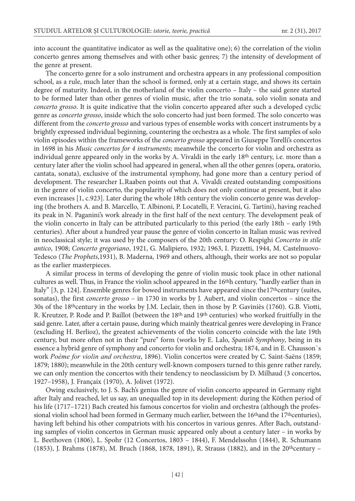into account the quantitative indicator as well as the qualitative one); 6) the correlation of the violin concerto genres among themselves and with other basic genres; 7) the intensity of development of the genre at present.

The concerto genre for a solo instrument and orchestra appears in any professional composition school, as a rule, much later than the school is formed, only at a certain stage, and shows its certain degree of maturity. Indeed, in the motherland of the violin concerto – Italy – the said genre started to be formed later than other genres of violin music, after the trio sonata, solo violin sonata and *concerto grosso*. It is quite indicative that the violin concerto appeared after such a developed cyclic genre as *concerto grosso*, inside which the solo concerto had just been formed. The solo concerto was different from the *concerto grosso* and various types of ensemble works with concert instruments by a brightly expressed individual beginning, countering the orchestra as a whole. The first samples of solo violin episodes within the frameworks of the *concerto grosso* appeared in Giuseppe Torelli's concertos in 1698 in his *Music concertos for 4 instruments*; meanwhile the concerto for violin and orchestra as individual genre appeared only in the works by A. Vivaldi in the early 18th century, i.e. more than a century later after the violin school had appeared in general, when all the other genres (opera, oratorio, cantata, sonata), exclusive of the instrumental symphony, had gone more than a century period of development. The researcher L.Raaben points out that A. Vivaldi created outstanding compositions in the genre of violin concerto, the popularity of which does not only continue at present, but it also even increases [1, c.923]. Later during the whole 18th century the violin concerto genre was developing (the brothers A. and B. Marcello, T. Albinoni, P. Locatelli, F. Veracini, G. Tartini), having reached its peak in N. Paganini's work already in the first half of the next century. The development peak of the violin concerto in Italy can be attributed particularly to this period (the early 18th – early 19th centuries). After about a hundred year pause the genre of violin concerto in Italian music was revived in neoclassical style; it was used by the composers of the 20th century: O. Respighi *Concerto in stile antico*, 1908; *Concerto gregoriano*, 1921, G. Malipiero, 1932; 1963, I. Pizzetti, 1944, M. Castelnuovo-Tedesco (*The Prophets*,1931), B. Maderna, 1969 and others, although, their works are not so popular as the earlier masterpieces.

A similar process in terms of developing the genre of violin music took place in other national cultures as well. Thus, in France the violin school appeared in the 16thh century, "hardly earlier than in Italy" [3, p. 124]. Ensemble genres for bowed instruments have appeared since the 17<sup>th</sup>century (suites, sonatas), the first *concerto grosso* – in 1730 in works by J. Aubert, and violin concertos – since the 30s of the 18thcentury in the works by J.M. Leclair, then in those by P. Gaviniès (1760). G.B. Viotti, R. Kreutzer, P. Rode and P. Baillot (between the 18th and 19th centuries) who worked fruitfully in the said genre. Later, after a certain pause, during which mainly theatrical genres were developing in France (excluding H. Berlioz), the greatest achievements of the violin concerto coincide with the late 19th century, but more often not in their "pure" form (works by E. Lalo, *Spanish Symphony*, being in its essence a hybrid genre of symphony and concerto for violin and orchestra; 1874, and in E. Chausson`s work *Poème for violin and orchestra*, 1896). Violin concertos were created by C. Saint-Saëns (1859; 1879; 1880); meanwhile in the 20th century well-known composers turned to this genre rather rarely, we can only mention the concertos with their tendency to neoclassicism by D. Milhaud (3 concertos, 1927–1958), J. Françaix (1970), А. Jolivet (1972).

Owing exclusively, to J. S. Bach's genius the genre of violin concerto appeared in Germany right after Italy and reached, let us say, an unequalled top in its development: during the Köthen period of his life (1717–1721) Bach created his famous concertos for violin and orchestra (although the professional violin school had been formed in Germany much earlier, between the 16<sup>th</sup>and the 17<sup>th</sup>centuries), having left behind his other compatriots with his concertos in various genres. After Bach, outstanding samples of violin concertos in German music appeared only about a century later – in works by L. Beethoven (1806), L. Spohr (12 Concertos, 1803 – 1844), F. Mendelssohn (1844), R. Schumann (1853), J. Brahms (1878), M. Bruch (1868, 1878, 1891), R. Strauss (1882), and in the 20thcentury –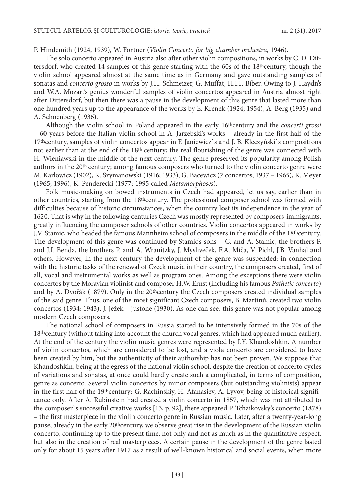P. Hindemith (1924, 1939), W. Fortner (*Violin Concerto for big chamber orchestra*, 1946).

The solo concerto appeared in Austria also after other violin compositions, in works by C. D. Dittersdorf, who created 14 samples of this genre starting with the 60s of the 18<sup>th</sup>century, though the violin school appeared almost at the same time as in Germany and gave outstanding samples of sonatas and *concerto grosso* in works by J.H. Schmeizer, G. Muffat, H.I.F. Biber. Owing to J. Haydn's and W.A. Mozart's genius wonderful samples of violin concertos appeared in Austria almost right after Dittersdorf, but then there was a pause in the development of this genre that lasted more than one hundred years up to the appearance of the works by E. Krenek (1924; 1954), A. Berg (1935) and A. Schoenberg (1936).

Although the violin school in Poland appeared in the early 16thcentury and the *concerti grossi*  – 60 years before the Italian violin school in A. Jarzebski's works – already in the first half of the 17thcentury, samples of violin concertos appear in F. Janiewicz`s and J. B. Kleczyński`s compositions not earlier than at the end of the 18th century; the real flourishing of the genre was connected with H. Wieniawski in the middle of the next century. The genre preserved its popularity among Polish authors in the 20th century; among famous composers who turned to the violin concerto genre were M. Karlowicz (1902), K. Szymanowski (1916; 1933), G. Bacewicz (7 concertos, 1937 – 1965), K. Meyer (1965; 1996), K. Penderecki (1977; 1995 called *Metamorphoses*).

Folk music-making on bowed instruments in Czech had appeared, let us say, earlier than in other countries, starting from the  $18$ <sup>th</sup>century. The professional composer school was formed with difficulties because of historic circumstances, when the country lost its independence in the year of 1620. That is why in the following centuries Czech was mostly represented by composers-immigrants, greatly influencing the composer schools of other countries. Violin concertos appeared in works by J.V. Stamic, who headed the famous Mannheim school of composers in the middle of the 18<sup>th</sup>century. The development of this genre was continued by Stamic's sons – C. and A. Stamic, the brothers F. and J.I. Benda, the brothers P. and A. Wranitzky, J. Mysliveček, F.A. Míča, V. Pichl, J.B. Vanhal and others. However, in the next century the development of the genre was suspended: in connection with the historic tasks of the renewal of Czeck music in their country, the composers created, first of all, vocal and instrumental works as well as program ones. Among the exceptions there were violin concertos by the Moravian violinist and composer H.W. Ernst (including his famous *Pathetic concerto*) and by A. Dvořák (1879). Only in the 20thcentury the Czech composers created individual samples of the said genre. Thus, one of the most significant Czech composers, B. Martinů, created two violin concertos (1934; 1943), J. Ježek – justone (1930). As one can see, this genre was not popular among modern Czech composers.

The national school of composers in Russia started to be intensively formed in the 70s of the 18<sup>th</sup>century (without taking into account the church vocal genres, which had appeared much earlier). At the end of the century the violin music genres were represented by I.Y. Khandoshkin. A number of violin concertos, which are considered to be lost, and a viola concerto are considered to have been created by him, but the authenticity of their authorship has not been proven. We suppose that Khandoshkin, being at the egress of the national violin school, despite the creation of concerto cycles of variations and sonatas, at once could hardly create such a complicated, in terms of composition, genre as concerto. Several violin concertos by minor composers (but outstanding violinists) appear in the first half of the 19<sup>th</sup>century: G. Rachinskiy, H. Afanasiev, A. Lyvov, being of historical significance only. After A. Rubinstein had created a violin concerto in 1857, which was not attributed to the composer`s successful creative works [13, p. 92], there appeared P. Tchaikovsky's concerto (1878) – the first masterpiece in the violin concerto genre in Russian music. Later, after a twenty-year-long pause, already in the early 20<sup>th</sup>century, we observe great rise in the development of the Russian violin concerto, continuing up to the present time, not only and not as much as in the quantitative respect, but also in the creation of real masterpieces. A certain pause in the development of the genre lasted only for about 15 years after 1917 as a result of well-known historical and social events, when more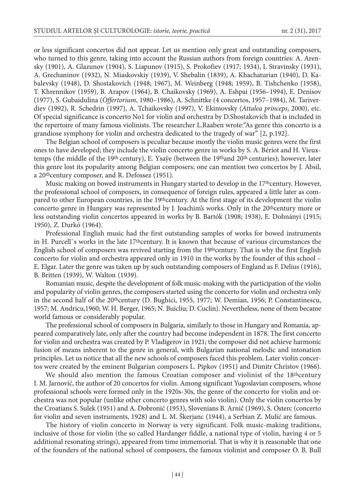or less significant concertos did not appear. Let us mention only great and outstanding composers, who turned to this genre, taking into account the Russian authors from foreign countries: А. Arensky (1901), А. Glazunov (1904), S. Liapunov (1915), S. Prokofiev (1917; 1934), I. Stravinsky (1931), А. Grechaninov (1932), N. Miaskovskiy (1939), V. Shebalin (1839), А. Khachaturian (1940), D. Kabalevsky (1948), D. Shostakovich (1948; 1967), М. Weinberg (1948; 1959), B. Tishchenko (1958), T. Khrennikov (1959), B. Arapov (1964), B. Chaikovsky (1969), А. Eshpai (1956–1994), E. Denisov (1977), S. Gubaidulina (*Offertorium*, 1980–1986), А. Schnittke (4 concertos, 1957–1984), М. Tariverdiev (1992), R. Schedrin (1997), А. Tchaikovsky (1997), V. Ekimovsky (*Attalea princeps*, 2000), etc. Of special significance is concerto No1 for violin and orchestra by D.Shostakovich that is included in the repertoire of many famous violinists. The researcher L.Raaben wrote:"As genre this concerto is a grandiose symphony for violin and orchestra dedicated to the tragedy of war" [2, p.192].

The Belgian school of composers is peculiar because mostly the violin music genres were the first ones to have developed; they include the violin concerto genre in works by S. A. Bériot and H. Vieuxtemps (the middle of the 19<sup>th</sup> century), E. Ysaye (between the 19<sup>th</sup>and 20<sup>th</sup> centuries); however, later this genre lost its popularity among Belgian composers; one can mention two concertos by J. Absil, a 20thcentury composer, and R. Defossez (1951).

Music making on bowed instruments in Hungary started to develop in the 17thcentury. However, the professional school of composers, in consequence of foreign rules, appeared a little later as compared to other European countries, in the 19thcentury. At the first stage of its development the violin concerto genre in Hungary was represented by J. Joachim's works. Only in the 20<sup>th</sup>century more or less outstanding violin concertos appeared in works by B. Bartók (1908; 1938), E. Dohnányi (1915; 1950), Z. Durkó (1964).

Professional English music had the first outstanding samples of works for bowed instruments in H. Purcell's works in the late 17<sup>th</sup>century. It is known that because of various circumstances the English school of composers was revived starting from the 19thcentury. That is why the first English concerto for violin and orchestra appeared only in 1910 in the works by the founder of this school – E. Elgar. Later the genre was taken up by such outstanding composers of England as F. Delius (1916), B. Britten (1939), W. Walton (1939).

Romanian music, despite the development of folk music-making with the participation of the violin and popularity of violin genres, the composers started using the concerto for violin and orchestra only in the second half of the 20<sup>th</sup>century (D. Bughici, 1955, 1977; W. Demian, 1956; P. Constantinescu, 1957; M. Andricu,1960; W. H. Berger, 1965; N. Buicliu; D. Cuclin). Nevertheless, none of them became world famous or considerably popular.

The professional school of composers in Bulgaria, similarly to those in Hungary and Romania, appeared comparatively late, only after the country had become independent in 1878. The first concerto for violin and orchestra was created by P. Vladigerov in 1921; the composer did not achieve harmonic fusion of means inherent to the genre in general, with Bulgarian national melodic and intonation principles. Let us notice that all the new schools of composers faced this problem. Later violin concertos were created by the eminent Bulgarian composers L. Pipkov (1951) and Dimitr Christov (1966).

We should also mention the famous Croatian composer and violinist of the  $18<sup>th</sup>$ century I. M. Jarnović, the author of 20 concertos for violin. Among significant Yugoslavian composers, whose professional schools were formed only in the 1920s-30s, the genre of the concerto for violin and orchestra was not popular (unlike other concerto genres with solo violin). Only the violin concertos by the Croatians S. Sulek (1951) and A. Dobronić (1953), Slovenians B. Arnič (1969), S. Osterc (concerto for violin and seven instruments, 1928) and L. M. Škerjanc (1944), a Serbian Z. Mulić are famous.

The history of violin concerto in Norway is very significant. Folk music-making traditions, inclusive of those for violin (the so called Hardanger fiddle, a national type of violin, having 4 or 5 additional resonating strings), appeared from time immemorial. That is why it is reasonable that one of the founders of the national school of composers, the famous violinist and composer O. B. Bull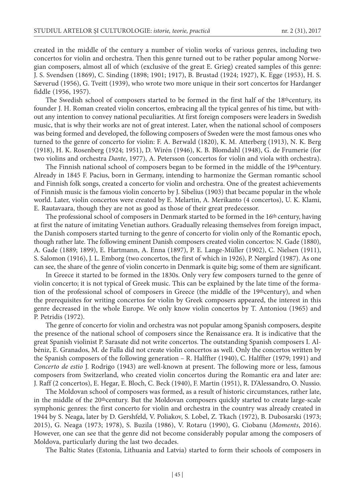created in the middle of the century a number of violin works of various genres, including two concertos for violin and orchestra. Then this genre turned out to be rather popular among Norwegian composers, almost all of which (exclusive of the great E. Grieg) created samples of this genre: J. S. Svendsen (1869), C. Sinding (1898; 1901; 1917), B. Brustad (1924; 1927), K. Egge (1953), H. S. Sæverud (1956), G. Tveitt (1939), who wrote two more unique in their sort concertos for Hardanger fiddle (1956, 1957).

The Swedish school of composers started to be formed in the first half of the 18thcentury, its founder J. H. Roman created violin concertos, embracing all the typical genres of his time, but without any intention to convey national peculiarities. At first foreign composers were leaders in Swedish music, that is why their works are not of great interest. Later, when the national school of composers was being formed and developed, the following composers of Sweden were the most famous ones who turned to the genre of concerto for violin: F. A. Berwald (1820), K. М. Atterberg (1913), N. K. Berg (1918), H. K. Rosenberg (1924; 1951), D. Wirén (1946), K. B. Blomdahl (1948), G. de Frumerie (for two violins and orchestra *Dante*, 1977), А. Petersson (concertos for violin and viola with orchestra).

The Finnish national school of composers began to be formed in the middle of the 19thcentury. Already in 1845 F. Pacius, born in Germany, intending to harmonize the German romantic school and Finnish folk songs, created a concerto for violin and orchestra. One of the greatest achievements of Finnish music is the famous violin concerto by J. Sibelius (1903) that became popular in the whole world. Later, violin concertos were created by E. Melartin, A. Merikanto (4 concertos), U. K. Klami, E. Rautavaara, though they are not as good as those of their great predecessor.

The professional school of composers in Denmark started to be formed in the 16<sup>th</sup> century, having at first the nature of imitating Venetian authors. Gradually releasing themselves from foreign impact, the Danish composers started turning to the genre of concerto for violin only of the Romantic epoch, though rather late. The following eminent Danish composers created violin concertos: N. Gade (1880), А. Gade (1889; 1899), E. Hartmann, А. Enna (1897), P. E. Lange-Müller (1902), C. Nielsen (1911), S. Salomon (1916), J. L. Emborg (two concertos, the first of which in 1926), P. Nørgård (1987). As one can see, the share of the genre of violin concerto in Denmark is quite big; some of them are significant.

In Greece it started to be formed in the 1830s. Only very few composers turned to the genre of violin concerto; it is not typical of Greek music. This can be explained by the late time of the formation of the professional school of composers in Greece (the middle of the 19thcentury), and when the prerequisites for writing concertos for violin by Greek composers appeared, the interest in this genre decreased in the whole Europe. We only know violin concertos by Т. Antoniou (1965) and P. Petridis (1972).

The genre of concerto for violin and orchestra was not popular among Spanish composers, despite the presence of the national school of composers since the Renaissance era. It is indicative that the great Spanish violinist P. Sarasate did not write concertos. The outstanding Spanish composers I. Albéniz, E. Granados, М. de Falla did not create violin concertos as well. Only the concertos written by the Spanish composers of the following generation – R. Halffter (1940), C. Halffter (1979; 1991) and *Concerto de estio* J. Rodrigo (1943) are well-known at present. The following more or less, famous composers from Switzerland, who created violin concertos during the Romantic era and later are: J. Raff (2 concertos), E. Hegar, E. Bloch, C. Beck (1940), F. Martin (1951), R. D'Alessandro, О. Nussio.

The Moldovan school of composers was formed, as a result of historic circumstances, rather late, in the middle of the 20<sup>th</sup>century. But the Moldovan composers quickly started to create large-scale symphonic genres: the first concerto for violin and orchestra in the country was already created in 1944 by S. Neaga, later by D. Gershfeld, V. Poliakov, S. Lobel, Z. Tkach (1972), B. Dubosarski (1973; 2015), G. Neaga (1973; 1978), S. Buzila (1986), V. Rotaru (1990), G. Ciobanu (*Moments*, 2016). However, one can see that the genre did not become considerably popular among the composers of Moldova, particularly during the last two decades.

The Baltic States (Estonia, Lithuania and Latvia) started to form their schools of composers in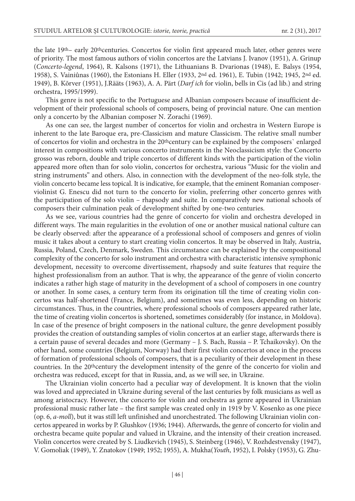the late 19th– early 20thcenturies. Concertos for violin first appeared much later, other genres were of priority. The most famous authors of violin concertos are the Latvians J. Ivanov (1951), А. Grinup (*Concerto-legend*, 1964), R. Kalsons (1971), the Lithuanians B. Dvarionas (1948), E. Balsys (1954, 1958), S. Vainiûnas (1960), the Estonians H. Eller (1933, 2nd ed. 1961), E. Tubin (1942; 1945, 2nd ed. 1949), B. Kõrver (1951), J.Rääts (1963), А. А. Pärt (*Darf ich* for violin, bells in Cis (ad lib.) and string orchestra, 1995/1999).

This genre is not specific to the Portuguese and Albanian composers because of insufficient development of their professional schools of composers, being of provincial nature. One can mention only a concerto by the Albanian composer N. Zorachi (1969).

As one can see, the largest number of concertos for violin and orchestra in Western Europe is inherent to the late Baroque era, pre-Classicism and mature Classicism. The relative small number of concertos for violin and orchestra in the 20thcentury can be explained by the composers` enlarged interest in compositions with various concerto instruments in the Neoclassicism style: the Concerto grosso was reborn, double and triple concertos of different kinds with the participation of the violin appeared more often than for solo violin, concertos for orchestra, various "Music for the violin and string instruments" and others. Also, in connection with the development of the neo-folk style, the violin concerto became less topical. It is indicative, for example, that the eminent Romanian composerviolinist G. Enescu did not turn to the concerto for violin, preferring other concerto genres with the participation of the solo violin – rhapsody and suite. In comparatively new national schools of composers their culmination peak of development shifted by one-two centuries.

As we see, various countries had the genre of concerto for violin and orchestra developed in different ways. The main regularities in the evolution of one or another musical national culture can be clearly observed: after the appearance of a professional school of composers and genres of violin music it takes about a century to start creating violin concertos. It may be observed in Italy, Austria, Russia, Poland, Czech, Denmark, Sweden. This circumstance can be explained by the compositional complexity of the concerto for solo instrument and orchestra with characteristic intensive symphonic development, necessity to overcome divertissement, rhapsody and suite features that require the highest professionalism from an author. That is why, the appearance of the genre of violin concerto indicates a rather high stage of maturity in the development of a school of composers in one country or another. In some cases, a century term from its origination till the time of creating violin concertos was half-shortened (France, Belgium), and sometimes was even less, depending on historic circumstances. Thus, in the countries, where professional schools of composers appeared rather late, the time of creating violin concertos is shortened, sometimes considerably (for instance, in Moldova). In case of the presence of bright composers in the national culture, the genre development possibly provides the creation of outstanding samples of violin concertos at an earlier stage, afterwards there is a certain pause of several decades and more (Germany – J. S. Bach, Russia – P. Tchaikovsky). On the other hand, some countries (Belgium, Norway) had their first violin concertos at once in the process of formation of professional schools of composers, that is a peculiarity of their development in these countries. In the 20<sup>th</sup>century the development intensity of the genre of the concerto for violin and orchestra was reduced, except for that in Russia, and, as we will see, in Ukraine.

The Ukrainian violin concerto had a peculiar way of development. It is known that the violin was loved and appreciated in Ukraine during several of the last centuries by folk musicians as well as among aristocracy. However, the concerto for violin and orchestra as genre appeared in Ukrainian professional music rather late – the first sample was created only in 1919 by V. Kosenko as one piece (op. 6, *a-moll*), but it was still left unfinished and unorchestrated. The following Ukrainian violin concertos appeared in works by P. Glushkov (1936; 1944). Afterwards, the genre of concerto for violin and orchestra became quite popular and valued in Ukraine, and the intensity of their creation increased. Violin concertos were created by S. Liudkevich (1945), S. Steinberg (1946), V. Rozhdestvensky (1947), V. Gomoliak (1949), Y. Znatokov (1949; 1952; 1955), A. Mukha(*Youth*, 1952), I. Polsky (1953), G. Zhu